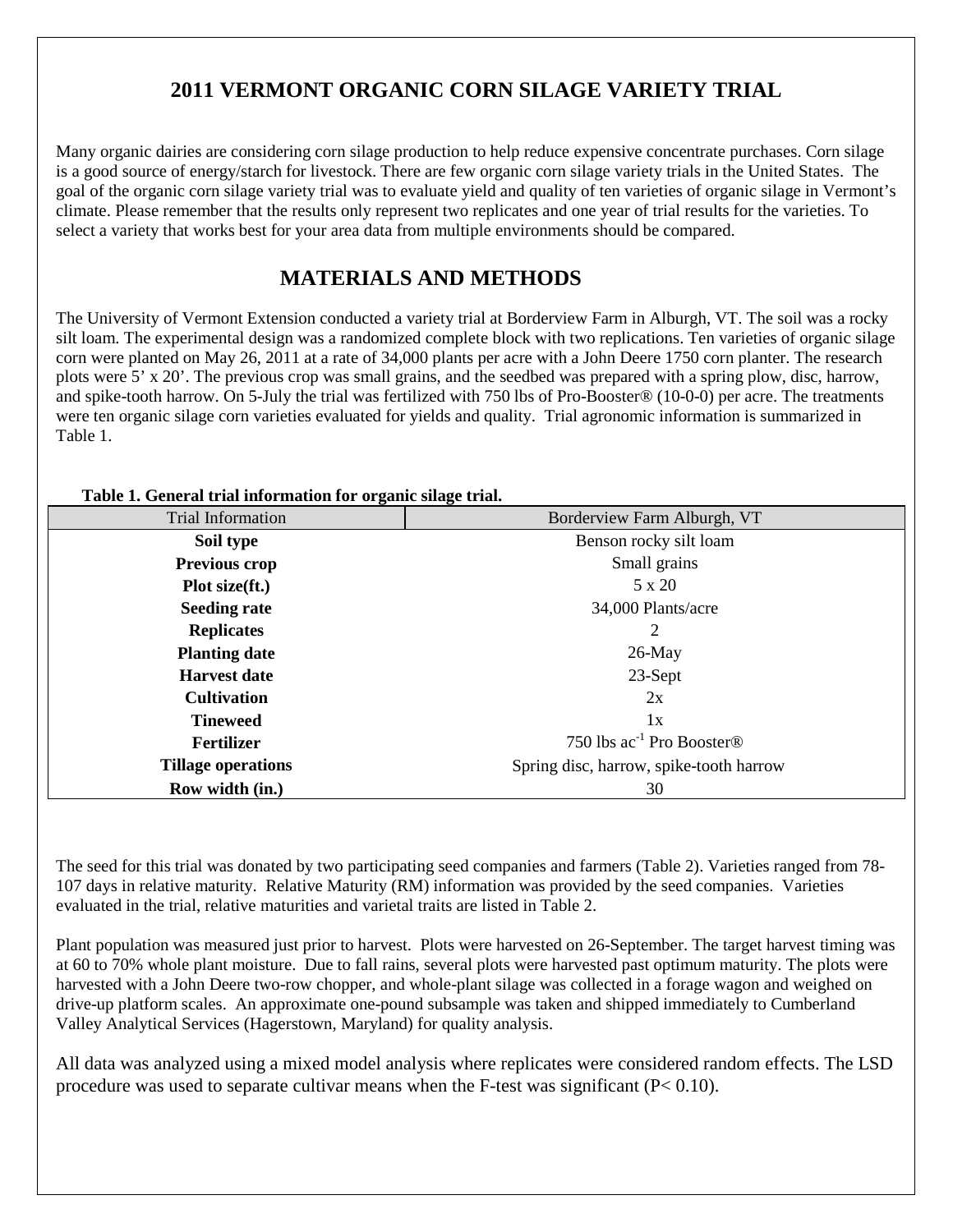# **2011 VERMONT ORGANIC CORN SILAGE VARIETY TRIAL**

Many organic dairies are considering corn silage production to help reduce expensive concentrate purchases. Corn silage is a good source of energy/starch for livestock. There are few organic corn silage variety trials in the United States. The goal of the organic corn silage variety trial was to evaluate yield and quality of ten varieties of organic silage in Vermont's climate. Please remember that the results only represent two replicates and one year of trial results for the varieties. To select a variety that works best for your area data from multiple environments should be compared.

## **MATERIALS AND METHODS**

The University of Vermont Extension conducted a variety trial at Borderview Farm in Alburgh, VT. The soil was a rocky silt loam. The experimental design was a randomized complete block with two replications. Ten varieties of organic silage corn were planted on May 26, 2011 at a rate of 34,000 plants per acre with a John Deere 1750 corn planter. The research plots were 5' x 20'. The previous crop was small grains, and the seedbed was prepared with a spring plow, disc, harrow, and spike-tooth harrow. On 5-July the trial was fertilized with 750 lbs of Pro-Booster® (10-0-0) per acre. The treatments were ten organic silage corn varieties evaluated for yields and quality. Trial agronomic information is summarized in Table 1.

| Table 1. General trial information for organic shage trial. |                                            |  |  |  |  |  |  |
|-------------------------------------------------------------|--------------------------------------------|--|--|--|--|--|--|
| Trial Information                                           | Borderview Farm Alburgh, VT                |  |  |  |  |  |  |
| Soil type                                                   | Benson rocky silt loam                     |  |  |  |  |  |  |
| <b>Previous crop</b>                                        | Small grains                               |  |  |  |  |  |  |
| Plot size(ft.)                                              | 5 x 20                                     |  |  |  |  |  |  |
| <b>Seeding rate</b>                                         | 34,000 Plants/acre                         |  |  |  |  |  |  |
| <b>Replicates</b>                                           | 2                                          |  |  |  |  |  |  |
| <b>Planting date</b>                                        | $26$ -May                                  |  |  |  |  |  |  |
| <b>Harvest date</b>                                         | 23-Sept                                    |  |  |  |  |  |  |
| <b>Cultivation</b>                                          | 2x                                         |  |  |  |  |  |  |
| <b>Tineweed</b>                                             | 1x                                         |  |  |  |  |  |  |
| Fertilizer                                                  | 750 lbs $ac^{-1}$ Pro Booster <sup>®</sup> |  |  |  |  |  |  |
| <b>Tillage operations</b>                                   | Spring disc, harrow, spike-tooth harrow    |  |  |  |  |  |  |
| Row width (in.)                                             | 30                                         |  |  |  |  |  |  |

#### **Table 1. General trial information for organic silage trial.**

The seed for this trial was donated by two participating seed companies and farmers (Table 2). Varieties ranged from 78- 107 days in relative maturity. Relative Maturity (RM) information was provided by the seed companies. Varieties evaluated in the trial, relative maturities and varietal traits are listed in Table 2.

Plant population was measured just prior to harvest. Plots were harvested on 26-September. The target harvest timing was at 60 to 70% whole plant moisture. Due to fall rains, several plots were harvested past optimum maturity. The plots were harvested with a John Deere two-row chopper, and whole-plant silage was collected in a forage wagon and weighed on drive-up platform scales. An approximate one-pound subsample was taken and shipped immediately to Cumberland Valley Analytical Services (Hagerstown, Maryland) for quality analysis.

All data was analyzed using a mixed model analysis where replicates were considered random effects. The LSD procedure was used to separate cultivar means when the F-test was significant  $(P< 0.10)$ .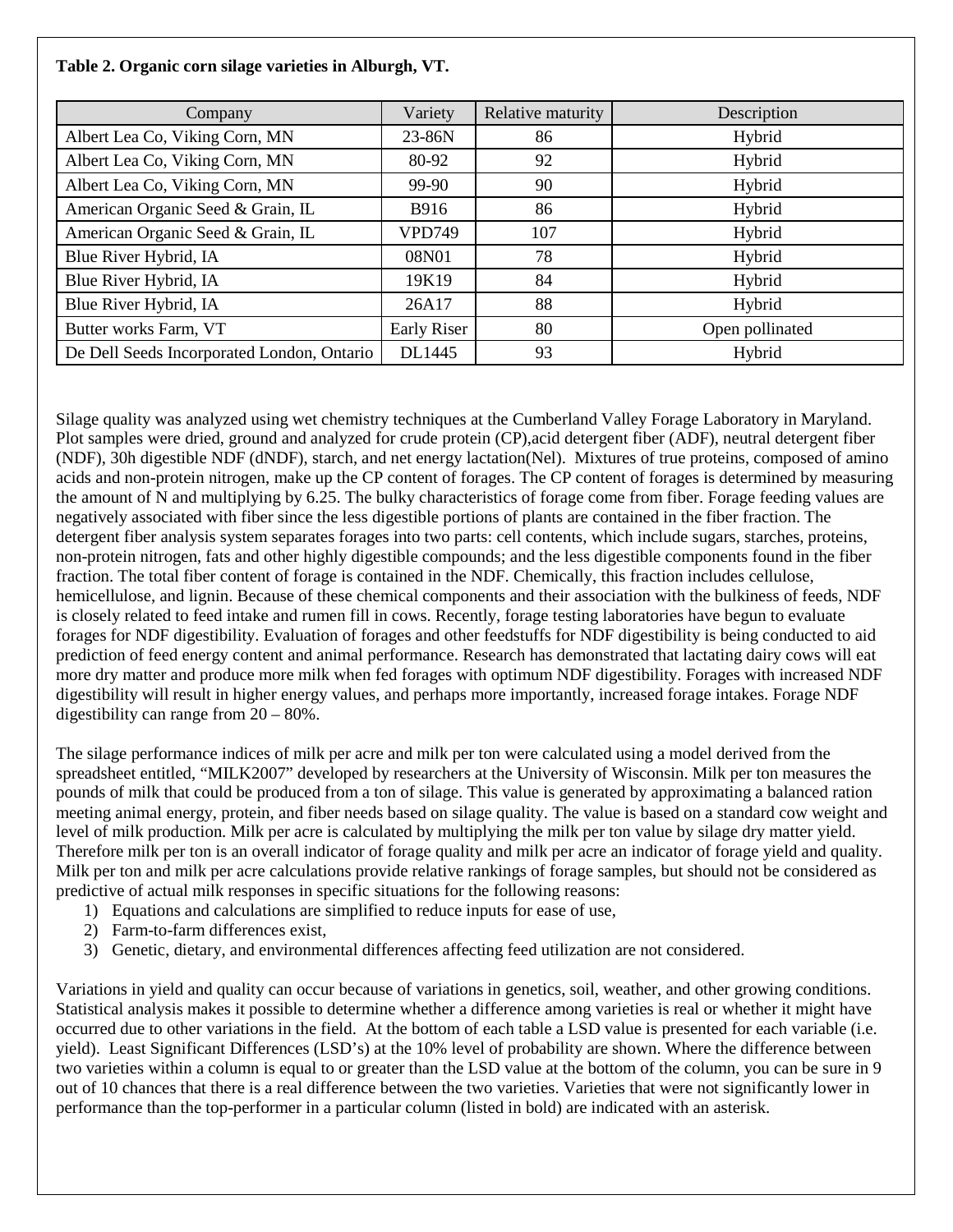| Company                                    | Variety       | Relative maturity | Description     |
|--------------------------------------------|---------------|-------------------|-----------------|
| Albert Lea Co, Viking Corn, MN             | 23-86N        | 86                | Hybrid          |
| Albert Lea Co, Viking Corn, MN             | 80-92         | 92                | Hybrid          |
| Albert Lea Co, Viking Corn, MN             | 99-90         | 90                | Hybrid          |
| American Organic Seed & Grain, IL          | <b>B916</b>   | 86                | Hybrid          |
| American Organic Seed & Grain, IL          | <b>VPD749</b> | 107               | Hybrid          |
| Blue River Hybrid, IA                      | 08N01         | 78                | Hybrid          |
| Blue River Hybrid, IA                      | 19K19         | 84                | Hybrid          |
| Blue River Hybrid, IA                      | 26A17         | 88                | Hybrid          |
| Butter works Farm, VT                      | Early Riser   | 80                | Open pollinated |
| De Dell Seeds Incorporated London, Ontario | DL1445        | 93                | Hybrid          |

**Table 2. Organic corn silage varieties in Alburgh, VT.**

Silage quality was analyzed using wet chemistry techniques at the Cumberland Valley Forage Laboratory in Maryland. Plot samples were dried, ground and analyzed for crude protein (CP),acid detergent fiber (ADF), neutral detergent fiber (NDF), 30h digestible NDF (dNDF), starch, and net energy lactation(Nel). Mixtures of true proteins, composed of amino acids and non-protein nitrogen, make up the CP content of forages. The CP content of forages is determined by measuring the amount of N and multiplying by 6.25. The bulky characteristics of forage come from fiber. Forage feeding values are negatively associated with fiber since the less digestible portions of plants are contained in the fiber fraction. The detergent fiber analysis system separates forages into two parts: cell contents, which include sugars, starches, proteins, non-protein nitrogen, fats and other highly digestible compounds; and the less digestible components found in the fiber fraction. The total fiber content of forage is contained in the NDF. Chemically, this fraction includes cellulose, hemicellulose, and lignin. Because of these chemical components and their association with the bulkiness of feeds, NDF is closely related to feed intake and rumen fill in cows. Recently, forage testing laboratories have begun to evaluate forages for NDF digestibility. Evaluation of forages and other feedstuffs for NDF digestibility is being conducted to aid prediction of feed energy content and animal performance. Research has demonstrated that lactating dairy cows will eat more dry matter and produce more milk when fed forages with optimum NDF digestibility. Forages with increased NDF digestibility will result in higher energy values, and perhaps more importantly, increased forage intakes. Forage NDF digestibility can range from 20 – 80%.

The silage performance indices of milk per acre and milk per ton were calculated using a model derived from the spreadsheet entitled, "MILK2007" developed by researchers at the University of Wisconsin. Milk per ton measures the pounds of milk that could be produced from a ton of silage. This value is generated by approximating a balanced ration meeting animal energy, protein, and fiber needs based on silage quality. The value is based on a standard cow weight and level of milk production. Milk per acre is calculated by multiplying the milk per ton value by silage dry matter yield. Therefore milk per ton is an overall indicator of forage quality and milk per acre an indicator of forage yield and quality. Milk per ton and milk per acre calculations provide relative rankings of forage samples, but should not be considered as predictive of actual milk responses in specific situations for the following reasons:

- 1) Equations and calculations are simplified to reduce inputs for ease of use,
- 2) Farm-to-farm differences exist,
- 3) Genetic, dietary, and environmental differences affecting feed utilization are not considered.

Variations in yield and quality can occur because of variations in genetics, soil, weather, and other growing conditions. Statistical analysis makes it possible to determine whether a difference among varieties is real or whether it might have occurred due to other variations in the field. At the bottom of each table a LSD value is presented for each variable (i.e. yield). Least Significant Differences (LSD's) at the 10% level of probability are shown. Where the difference between two varieties within a column is equal to or greater than the LSD value at the bottom of the column, you can be sure in 9 out of 10 chances that there is a real difference between the two varieties. Varieties that were not significantly lower in performance than the top-performer in a particular column (listed in bold) are indicated with an asterisk.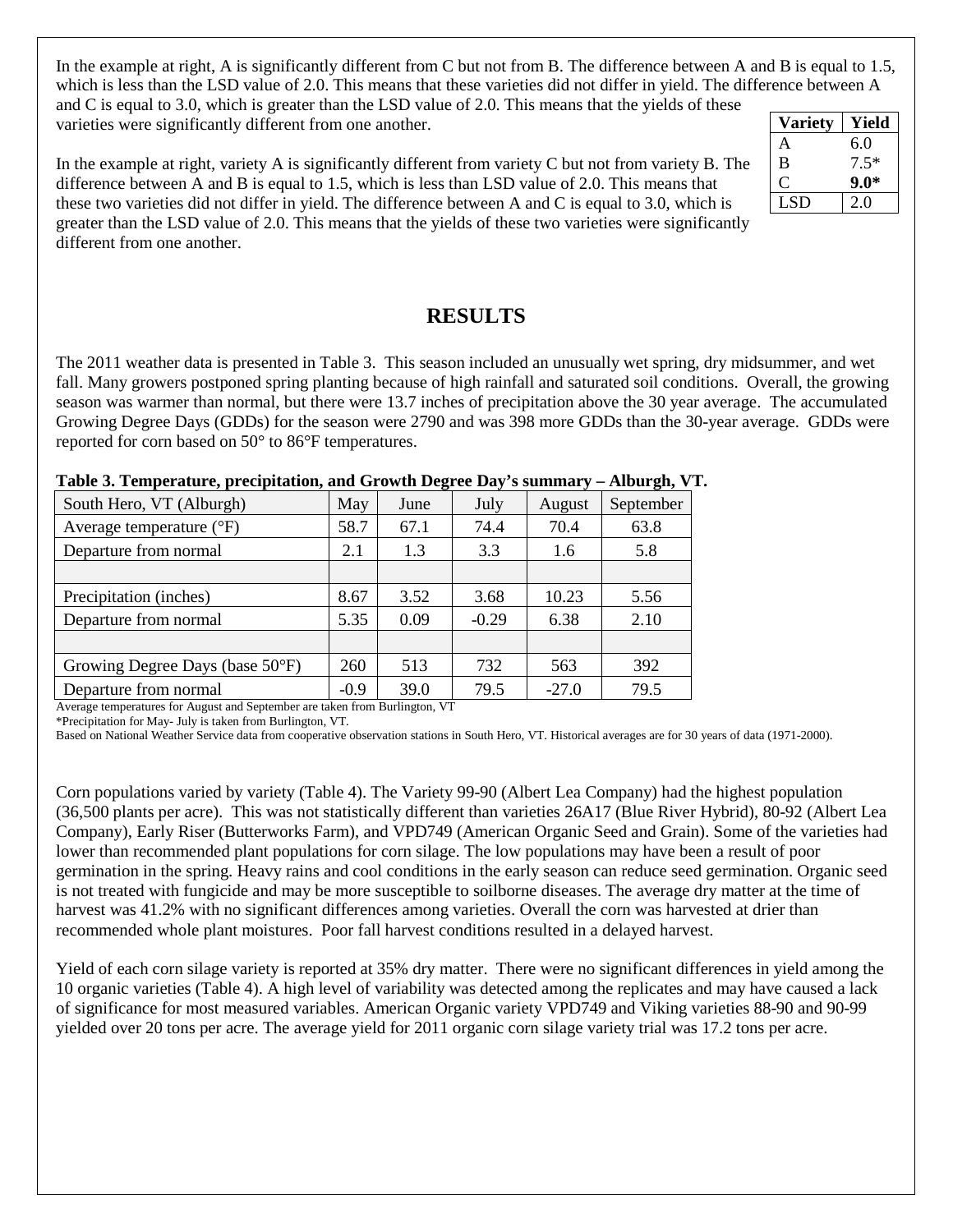In the example at right, A is significantly different from C but not from B. The difference between A and B is equal to 1.5, which is less than the LSD value of 2.0. This means that these varieties did not differ in yield. The difference between A and C is equal to 3.0, which is greater than the LSD value of 2.0. This means that the yields of these varieties were significantly different from one another. **Variety Yield**

In the example at right, variety A is significantly different from variety C but not from variety B. The difference between A and B is equal to 1.5, which is less than LSD value of 2.0. This means that these two varieties did not differ in yield. The difference between A and C is equal to 3.0, which is greater than the LSD value of 2.0. This means that the yields of these two varieties were significantly different from one another.

| Variety | Yield  |
|---------|--------|
| A       | 6.0    |
| B       | $7.5*$ |
|         | 9.0*   |
| LSD     | 2.0    |

### **RESULTS**

The 2011 weather data is presented in Table 3. This season included an unusually wet spring, dry midsummer, and wet fall. Many growers postponed spring planting because of high rainfall and saturated soil conditions. Overall, the growing season was warmer than normal, but there were 13.7 inches of precipitation above the 30 year average. The accumulated Growing Degree Days (GDDs) for the season were 2790 and was 398 more GDDs than the 30-year average. GDDs were reported for corn based on 50° to 86°F temperatures.

#### **Table 3. Temperature, precipitation, and Growth Degree Day's summary – Alburgh, VT.**

| South Hero, VT (Alburgh)          | May    | June | July    | August  | September |
|-----------------------------------|--------|------|---------|---------|-----------|
| Average temperature $(^{\circ}F)$ | 58.7   | 67.1 | 74.4    | 70.4    | 63.8      |
| Departure from normal             | 2.1    | 1.3  | 3.3     | 1.6     | 5.8       |
|                                   |        |      |         |         |           |
| Precipitation (inches)            | 8.67   | 3.52 | 3.68    | 10.23   | 5.56      |
| Departure from normal             | 5.35   | 0.09 | $-0.29$ | 6.38    | 2.10      |
|                                   |        |      |         |         |           |
| Growing Degree Days (base 50°F)   | 260    | 513  | 732     | 563     | 392       |
| Departure from normal             | $-0.9$ | 39.0 | 79.5    | $-27.0$ | 79.5      |

Average temperatures for August and September are taken from Burlington, VT

\*Precipitation for May- July is taken from Burlington, VT.

Based on National Weather Service data from cooperative observation stations in South Hero, VT. Historical averages are for 30 years of data (1971-2000).

Corn populations varied by variety (Table 4). The Variety 99-90 (Albert Lea Company) had the highest population (36,500 plants per acre). This was not statistically different than varieties 26A17 (Blue River Hybrid), 80-92 (Albert Lea Company), Early Riser (Butterworks Farm), and VPD749 (American Organic Seed and Grain). Some of the varieties had lower than recommended plant populations for corn silage. The low populations may have been a result of poor germination in the spring. Heavy rains and cool conditions in the early season can reduce seed germination. Organic seed is not treated with fungicide and may be more susceptible to soilborne diseases. The average dry matter at the time of harvest was 41.2% with no significant differences among varieties. Overall the corn was harvested at drier than recommended whole plant moistures. Poor fall harvest conditions resulted in a delayed harvest.

Yield of each corn silage variety is reported at 35% dry matter. There were no significant differences in yield among the 10 organic varieties (Table 4). A high level of variability was detected among the replicates and may have caused a lack of significance for most measured variables. American Organic variety VPD749 and Viking varieties 88-90 and 90-99 yielded over 20 tons per acre. The average yield for 2011 organic corn silage variety trial was 17.2 tons per acre.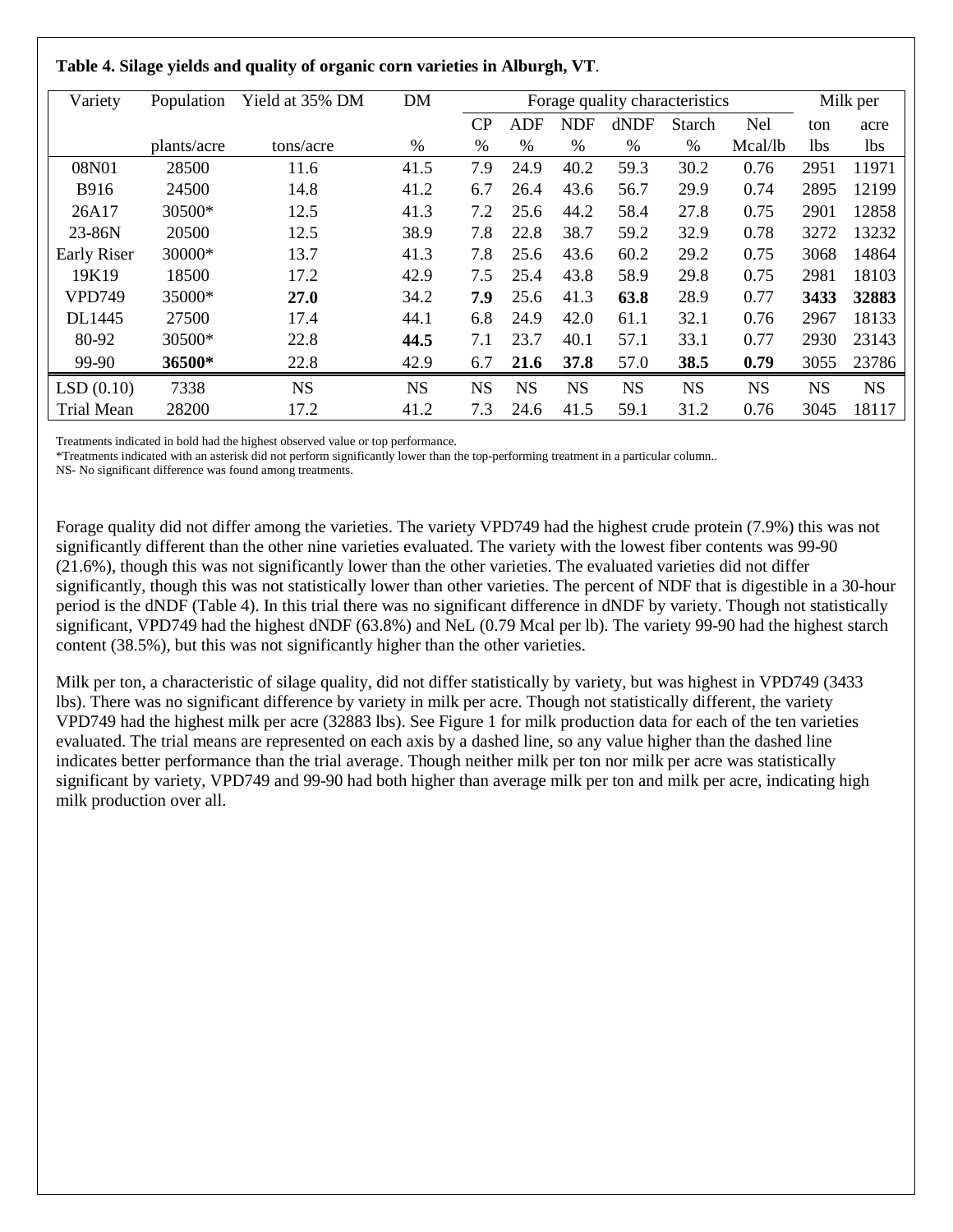|  |  |  | Table 4. Silage yields and quality of organic corn varieties in Alburgh, VT. |
|--|--|--|------------------------------------------------------------------------------|

| Variety            | Population  | Yield at 35% DM | DM        | Forage quality characteristics |            |            |           |           | Milk per   |            |           |
|--------------------|-------------|-----------------|-----------|--------------------------------|------------|------------|-----------|-----------|------------|------------|-----------|
|                    |             |                 |           | CP                             | <b>ADF</b> | <b>NDF</b> | dNDF      | Starch    | <b>Nel</b> | ton        | acre      |
|                    | plants/acre | tons/acre       | %         | $\%$                           | %          | $\%$       | %         | %         | Mcal/lb    | <b>lbs</b> | lbs       |
| 08N01              | 28500       | 11.6            | 41.5      | 7.9                            | 24.9       | 40.2       | 59.3      | 30.2      | 0.76       | 2951       | 11971     |
| <b>B916</b>        | 24500       | 14.8            | 41.2      | 6.7                            | 26.4       | 43.6       | 56.7      | 29.9      | 0.74       | 2895       | 12199     |
| 26A17              | 30500*      | 12.5            | 41.3      | 7.2                            | 25.6       | 44.2       | 58.4      | 27.8      | 0.75       | 2901       | 12858     |
| 23-86N             | 20500       | 12.5            | 38.9      | 7.8                            | 22.8       | 38.7       | 59.2      | 32.9      | 0.78       | 3272       | 13232     |
| <b>Early Riser</b> | 30000*      | 13.7            | 41.3      | 7.8                            | 25.6       | 43.6       | 60.2      | 29.2      | 0.75       | 3068       | 14864     |
| 19K19              | 18500       | 17.2            | 42.9      | 7.5                            | 25.4       | 43.8       | 58.9      | 29.8      | 0.75       | 2981       | 18103     |
| <b>VPD749</b>      | 35000*      | 27.0            | 34.2      | 7.9                            | 25.6       | 41.3       | 63.8      | 28.9      | 0.77       | 3433       | 32883     |
| DL1445             | 27500       | 17.4            | 44.1      | 6.8                            | 24.9       | 42.0       | 61.1      | 32.1      | 0.76       | 2967       | 18133     |
| 80-92              | 30500*      | 22.8            | 44.5      | 7.1                            | 23.7       | 40.1       | 57.1      | 33.1      | 0.77       | 2930       | 23143     |
| 99-90              | 36500*      | 22.8            | 42.9      | 6.7                            | 21.6       | 37.8       | 57.0      | 38.5      | 0.79       | 3055       | 23786     |
| LSD(0.10)          | 7338        | <b>NS</b>       | <b>NS</b> | <b>NS</b>                      | <b>NS</b>  | <b>NS</b>  | <b>NS</b> | <b>NS</b> | <b>NS</b>  | <b>NS</b>  | <b>NS</b> |
| <b>Trial Mean</b>  | 28200       | 17.2            | 41.2      | 7.3                            | 24.6       | 41.5       | 59.1      | 31.2      | 0.76       | 3045       | 18117     |

Treatments indicated in bold had the highest observed value or top performance.

\*Treatments indicated with an asterisk did not perform significantly lower than the top-performing treatment in a particular column..

NS- No significant difference was found among treatments.

Forage quality did not differ among the varieties. The variety VPD749 had the highest crude protein (7.9%) this was not significantly different than the other nine varieties evaluated. The variety with the lowest fiber contents was 99-90 (21.6%), though this was not significantly lower than the other varieties. The evaluated varieties did not differ significantly, though this was not statistically lower than other varieties. The percent of NDF that is digestible in a 30-hour period is the dNDF (Table 4). In this trial there was no significant difference in dNDF by variety. Though not statistically significant, VPD749 had the highest dNDF (63.8%) and NeL (0.79 Mcal per lb). The variety 99-90 had the highest starch content (38.5%), but this was not significantly higher than the other varieties.

Milk per ton, a characteristic of silage quality, did not differ statistically by variety, but was highest in VPD749 (3433 lbs). There was no significant difference by variety in milk per acre. Though not statistically different, the variety VPD749 had the highest milk per acre (32883 lbs). See Figure 1 for milk production data for each of the ten varieties evaluated. The trial means are represented on each axis by a dashed line, so any value higher than the dashed line indicates better performance than the trial average. Though neither milk per ton nor milk per acre was statistically significant by variety, VPD749 and 99-90 had both higher than average milk per ton and milk per acre, indicating high milk production over all.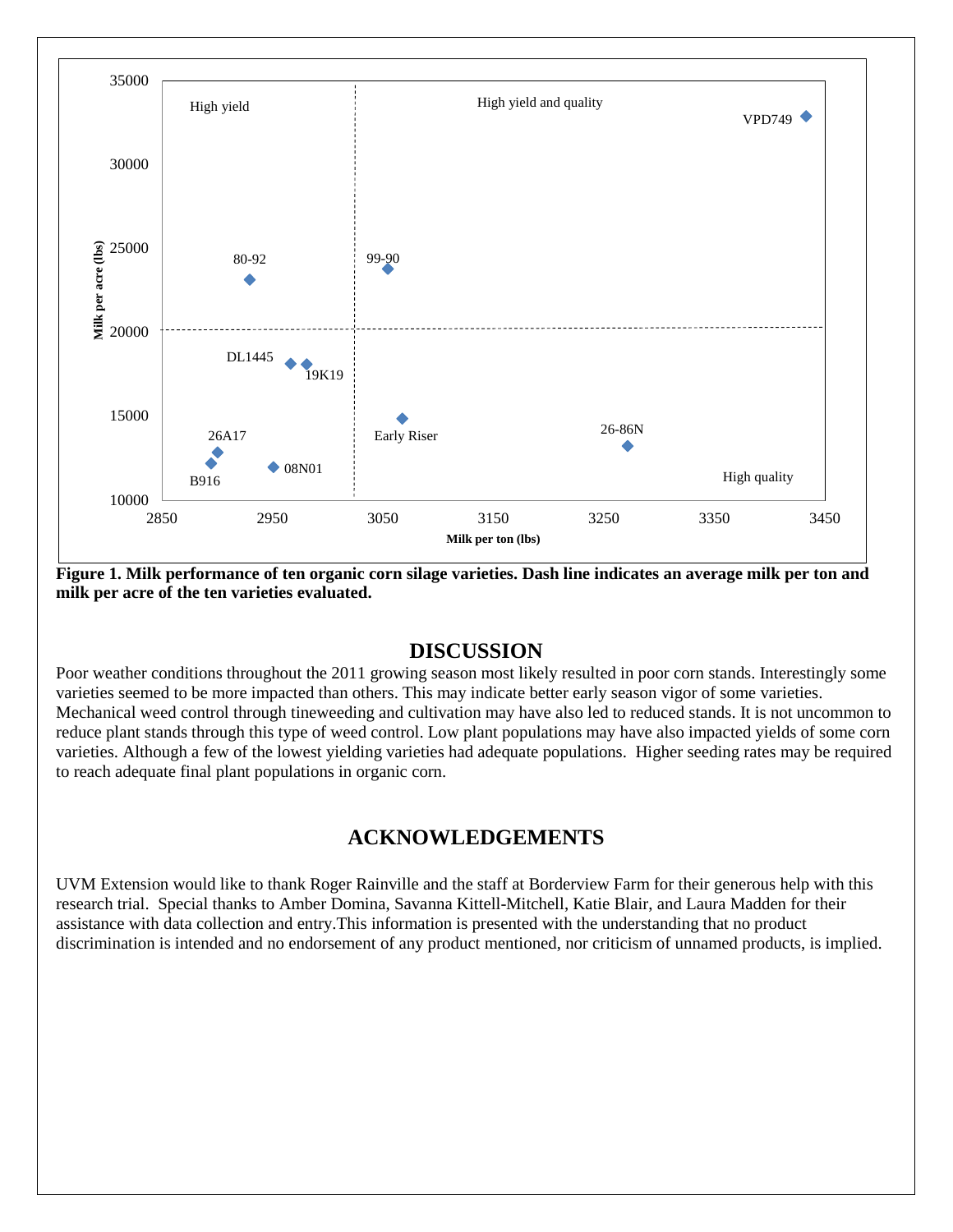

**Figure 1. Milk performance of ten organic corn silage varieties. Dash line indicates an average milk per ton and milk per acre of the ten varieties evaluated.** 

#### **DISCUSSION**

Poor weather conditions throughout the 2011 growing season most likely resulted in poor corn stands. Interestingly some varieties seemed to be more impacted than others. This may indicate better early season vigor of some varieties. Mechanical weed control through tineweeding and cultivation may have also led to reduced stands. It is not uncommon to reduce plant stands through this type of weed control. Low plant populations may have also impacted yields of some corn varieties. Although a few of the lowest yielding varieties had adequate populations. Higher seeding rates may be required to reach adequate final plant populations in organic corn.

### **ACKNOWLEDGEMENTS**

UVM Extension would like to thank Roger Rainville and the staff at Borderview Farm for their generous help with this research trial. Special thanks to Amber Domina, Savanna Kittell-Mitchell, Katie Blair, and Laura Madden for their assistance with data collection and entry.This information is presented with the understanding that no product discrimination is intended and no endorsement of any product mentioned, nor criticism of unnamed products, is implied.